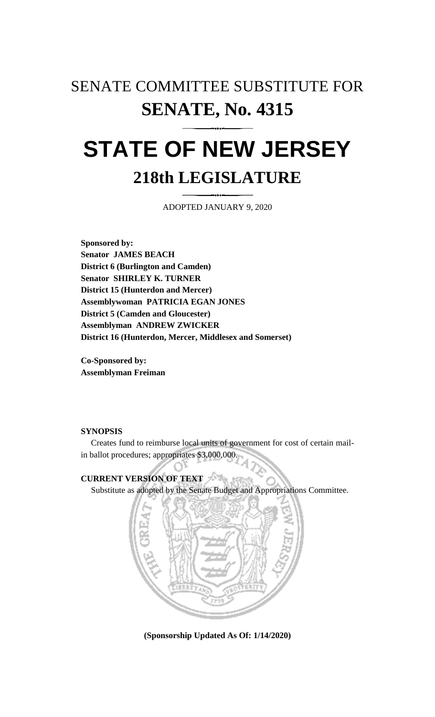## SENATE COMMITTEE SUBSTITUTE FOR **SENATE, No. 4315**

# **STATE OF NEW JERSEY 218th LEGISLATURE**

ADOPTED JANUARY 9, 2020

**Sponsored by: Senator JAMES BEACH District 6 (Burlington and Camden) Senator SHIRLEY K. TURNER District 15 (Hunterdon and Mercer) Assemblywoman PATRICIA EGAN JONES District 5 (Camden and Gloucester) Assemblyman ANDREW ZWICKER District 16 (Hunterdon, Mercer, Middlesex and Somerset)**

**Co-Sponsored by: Assemblyman Freiman**

## **SYNOPSIS**

Creates fund to reimburse local units of government for cost of certain mailin ballot procedures; appropriates \$3,000,000.

## **CURRENT VERSION OF TEXT**

Substitute as adopted by the Senate Budget and Appropriations Committee.



**(Sponsorship Updated As Of: 1/14/2020)**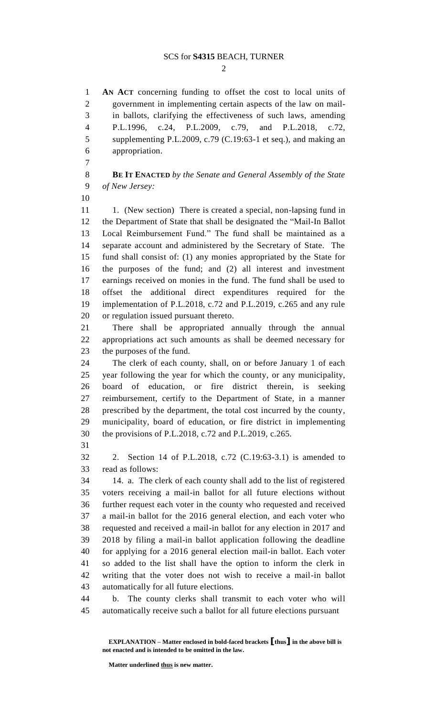### SCS for **S4315** BEACH, TURNER

 $\mathcal{D}_{\mathcal{L}}$ 

 **AN ACT** concerning funding to offset the cost to local units of government in implementing certain aspects of the law on mail- in ballots, clarifying the effectiveness of such laws, amending P.L.1996, c.24, P.L.2009, c.79, and P.L.2018, c.72, supplementing P.L.2009, c.79 (C.19:63-1 et seq.), and making an appropriation.

 **BE IT ENACTED** *by the Senate and General Assembly of the State of New Jersey:*

11 1. (New section) There is created a special, non-lapsing fund in the Department of State that shall be designated the "Mail-In Ballot Local Reimbursement Fund." The fund shall be maintained as a separate account and administered by the Secretary of State. The fund shall consist of: (1) any monies appropriated by the State for the purposes of the fund; and (2) all interest and investment earnings received on monies in the fund. The fund shall be used to offset the additional direct expenditures required for the implementation of P.L.2018, c.72 and P.L.2019, c.265 and any rule or regulation issued pursuant thereto.

 There shall be appropriated annually through the annual appropriations act such amounts as shall be deemed necessary for the purposes of the fund.

 The clerk of each county, shall, on or before January 1 of each year following the year for which the county, or any municipality, board of education, or fire district therein, is seeking reimbursement, certify to the Department of State, in a manner prescribed by the department, the total cost incurred by the county, municipality, board of education, or fire district in implementing the provisions of P.L.2018, c.72 and P.L.2019, c.265.

 2. Section 14 of P.L.2018, c.72 (C.19:63-3.1) is amended to read as follows:

 14. a. The clerk of each county shall add to the list of registered voters receiving a mail-in ballot for all future elections without further request each voter in the county who requested and received a mail-in ballot for the 2016 general election, and each voter who requested and received a mail-in ballot for any election in 2017 and 2018 by filing a mail-in ballot application following the deadline for applying for a 2016 general election mail-in ballot. Each voter so added to the list shall have the option to inform the clerk in writing that the voter does not wish to receive a mail-in ballot automatically for all future elections.

 b. The county clerks shall transmit to each voter who will automatically receive such a ballot for all future elections pursuant

**Matter underlined thus is new matter.**

**EXPLANATION – Matter enclosed in bold-faced brackets [thus] in the above bill is not enacted and is intended to be omitted in the law.**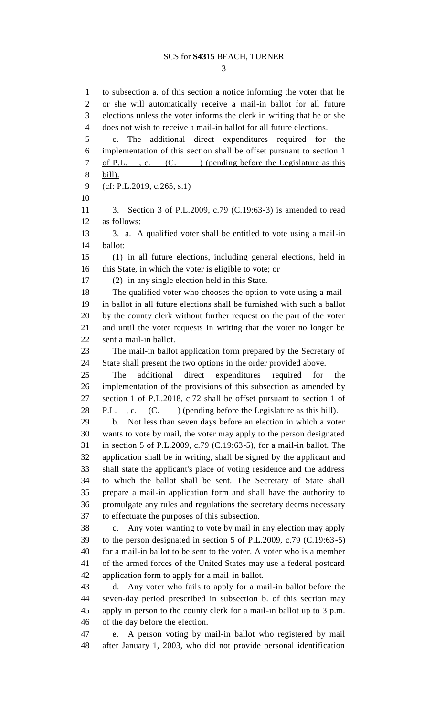### SCS for **S4315** BEACH, TURNER

 to subsection a. of this section a notice informing the voter that he or she will automatically receive a mail-in ballot for all future elections unless the voter informs the clerk in writing that he or she does not wish to receive a mail-in ballot for all future elections. c. The additional direct expenditures required for the implementation of this section shall be offset pursuant to section 1 7 of P.L., c. (C.) (pending before the Legislature as this bill). (cf: P.L.2019, c.265, s.1) 3. Section 3 of P.L.2009, c.79 (C.19:63-3) is amended to read as follows: 13 3. a. A qualified voter shall be entitled to vote using a mail-in ballot: (1) in all future elections, including general elections, held in this State, in which the voter is eligible to vote; or (2) in any single election held in this State. The qualified voter who chooses the option to vote using a mail- in ballot in all future elections shall be furnished with such a ballot by the county clerk without further request on the part of the voter and until the voter requests in writing that the voter no longer be sent a mail-in ballot. The mail-in ballot application form prepared by the Secretary of State shall present the two options in the order provided above. The additional direct expenditures required for the implementation of the provisions of this subsection as amended by section 1 of P.L.2018, c.72 shall be offset pursuant to section 1 of 28 P.L., c. (C. ) (pending before the Legislature as this bill). b. Not less than seven days before an election in which a voter wants to vote by mail, the voter may apply to the person designated in section 5 of P.L.2009, c.79 (C.19:63-5), for a mail-in ballot. The application shall be in writing, shall be signed by the applicant and shall state the applicant's place of voting residence and the address to which the ballot shall be sent. The Secretary of State shall prepare a mail-in application form and shall have the authority to promulgate any rules and regulations the secretary deems necessary to effectuate the purposes of this subsection. c. Any voter wanting to vote by mail in any election may apply to the person designated in section 5 of P.L.2009, c.79 (C.19:63-5) for a mail-in ballot to be sent to the voter. A voter who is a member of the armed forces of the United States may use a federal postcard application form to apply for a mail-in ballot. d. Any voter who fails to apply for a mail-in ballot before the seven-day period prescribed in subsection b. of this section may apply in person to the county clerk for a mail-in ballot up to 3 p.m. of the day before the election. e. A person voting by mail-in ballot who registered by mail after January 1, 2003, who did not provide personal identification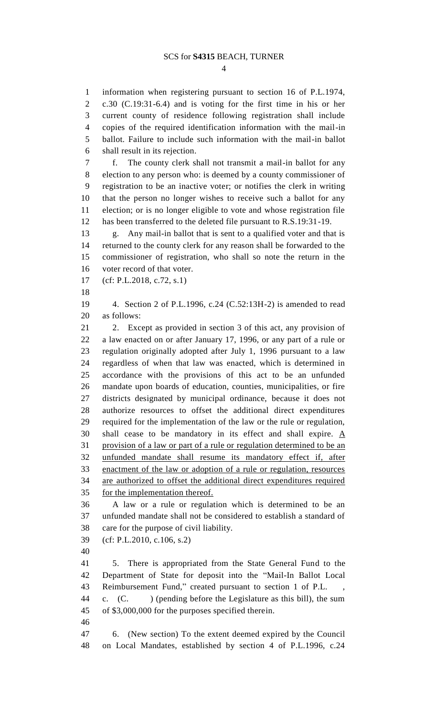information when registering pursuant to section 16 of P.L.1974, c.30 (C.19:31-6.4) and is voting for the first time in his or her current county of residence following registration shall include copies of the required identification information with the mail-in ballot. Failure to include such information with the mail-in ballot shall result in its rejection. f. The county clerk shall not transmit a mail-in ballot for any election to any person who: is deemed by a county commissioner of registration to be an inactive voter; or notifies the clerk in writing that the person no longer wishes to receive such a ballot for any election; or is no longer eligible to vote and whose registration file has been transferred to the deleted file pursuant to R.S.19:31-19. g. Any mail-in ballot that is sent to a qualified voter and that is returned to the county clerk for any reason shall be forwarded to the commissioner of registration, who shall so note the return in the voter record of that voter. (cf: P.L.2018, c.72, s.1) 4. Section 2 of P.L.1996, c.24 (C.52:13H-2) is amended to read as follows: 2. Except as provided in section 3 of this act, any provision of a law enacted on or after January 17, 1996, or any part of a rule or regulation originally adopted after July 1, 1996 pursuant to a law regardless of when that law was enacted, which is determined in accordance with the provisions of this act to be an unfunded mandate upon boards of education, counties, municipalities, or fire districts designated by municipal ordinance, because it does not authorize resources to offset the additional direct expenditures required for the implementation of the law or the rule or regulation, shall cease to be mandatory in its effect and shall expire. A provision of a law or part of a rule or regulation determined to be an unfunded mandate shall resume its mandatory effect if, after enactment of the law or adoption of a rule or regulation, resources are authorized to offset the additional direct expenditures required for the implementation thereof. A law or a rule or regulation which is determined to be an unfunded mandate shall not be considered to establish a standard of care for the purpose of civil liability. (cf: P.L.2010, c.106, s.2) 5. There is appropriated from the State General Fund to the Department of State for deposit into the "Mail-In Ballot Local Reimbursement Fund," created pursuant to section 1 of P.L. , c. (C. ) (pending before the Legislature as this bill), the sum of \$3,000,000 for the purposes specified therein. 6. (New section) To the extent deemed expired by the Council on Local Mandates, established by section 4 of P.L.1996, c.24